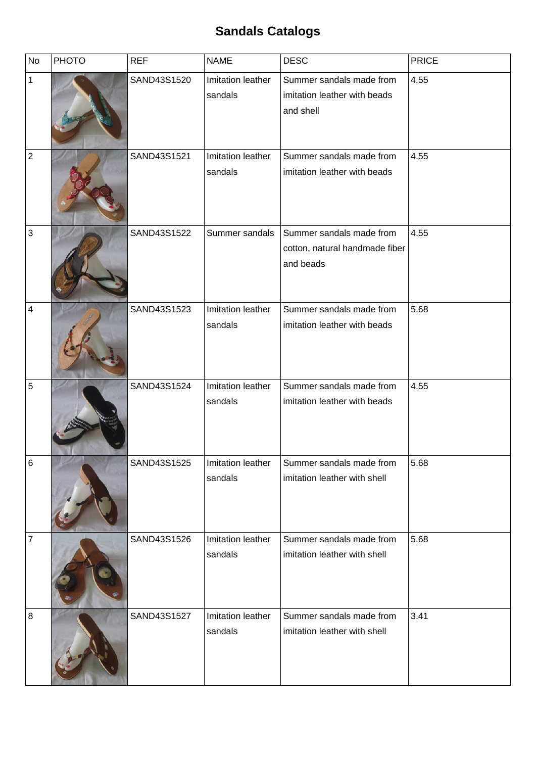## **Sandals Catalogs**

| No             | <b>PHOTO</b> | <b>REF</b>  | <b>NAME</b>                  | <b>DESC</b>                                                             | <b>PRICE</b> |
|----------------|--------------|-------------|------------------------------|-------------------------------------------------------------------------|--------------|
| $\mathbf{1}$   |              | SAND43S1520 | Imitation leather<br>sandals | Summer sandals made from<br>imitation leather with beads<br>and shell   | 4.55         |
| $\mathbf 2$    |              | SAND43S1521 | Imitation leather<br>sandals | Summer sandals made from<br>imitation leather with beads                | 4.55         |
| $\mathbf{3}$   |              | SAND43S1522 | Summer sandals               | Summer sandals made from<br>cotton, natural handmade fiber<br>and beads | 4.55         |
| 4              |              | SAND43S1523 | Imitation leather<br>sandals | Summer sandals made from<br>imitation leather with beads                | 5.68         |
| 5              |              | SAND43S1524 | Imitation leather<br>sandals | Summer sandals made from<br>imitation leather with beads                | 4.55         |
| $\,6$          |              | SAND43S1525 | Imitation leather<br>sandals | Summer sandals made from<br>imitation leather with shell                | 5.68         |
| $\overline{7}$ |              | SAND43S1526 | Imitation leather<br>sandals | Summer sandals made from<br>imitation leather with shell                | 5.68         |
| 8              |              | SAND43S1527 | Imitation leather<br>sandals | Summer sandals made from<br>imitation leather with shell                | 3.41         |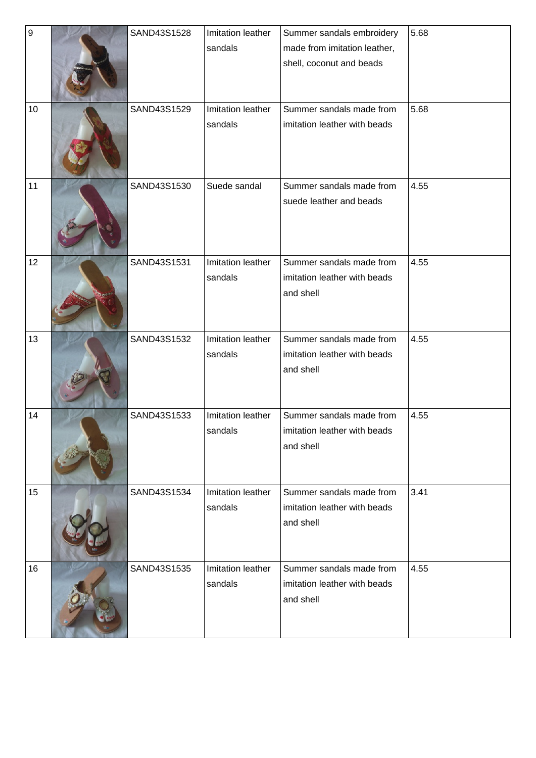| $\boldsymbol{9}$ | SAND43S1528 | Imitation leather | Summer sandals embroidery    | 5.68 |
|------------------|-------------|-------------------|------------------------------|------|
|                  |             | sandals           | made from imitation leather, |      |
|                  |             |                   | shell, coconut and beads     |      |
|                  |             |                   |                              |      |
|                  |             |                   |                              |      |
| 10               | SAND43S1529 | Imitation leather | Summer sandals made from     | 5.68 |
|                  |             | sandals           | imitation leather with beads |      |
|                  |             |                   |                              |      |
|                  |             |                   |                              |      |
|                  |             |                   |                              |      |
| 11               | SAND43S1530 | Suede sandal      | Summer sandals made from     | 4.55 |
|                  |             |                   | suede leather and beads      |      |
|                  |             |                   |                              |      |
|                  |             |                   |                              |      |
|                  |             |                   |                              |      |
| 12               | SAND43S1531 | Imitation leather | Summer sandals made from     | 4.55 |
|                  |             | sandals           | imitation leather with beads |      |
|                  |             |                   | and shell                    |      |
|                  |             |                   |                              |      |
|                  |             |                   |                              |      |
| 13               | SAND43S1532 | Imitation leather | Summer sandals made from     | 4.55 |
|                  |             | sandals           | imitation leather with beads |      |
|                  |             |                   | and shell                    |      |
|                  |             |                   |                              |      |
| 14               | SAND43S1533 | Imitation leather | Summer sandals made from     | 4.55 |
|                  |             | sandals           | imitation leather with beads |      |
|                  |             |                   | and shell                    |      |
|                  |             |                   |                              |      |
|                  |             |                   |                              |      |
| 15               | SAND43S1534 | Imitation leather | Summer sandals made from     | 3.41 |
|                  |             | sandals           | imitation leather with beads |      |
|                  |             |                   | and shell                    |      |
|                  |             |                   |                              |      |
|                  |             |                   |                              |      |
| 16               | SAND43S1535 | Imitation leather | Summer sandals made from     | 4.55 |
|                  |             | sandals           | imitation leather with beads |      |
|                  |             |                   | and shell                    |      |
|                  |             |                   |                              |      |
|                  |             |                   |                              |      |